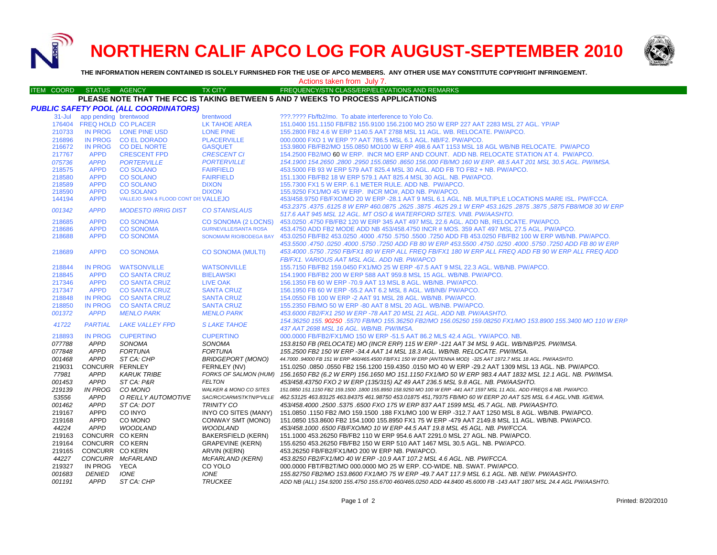**NORTHERN CALIF APCO LOG FOR AUGUST-SEPTEMBER 2010**



**THE INFORMATION HEREIN CONTAINED IS SOLELY FURNISHED FOR THE USE OF APCO MEMBERS. ANY OTHER USE MAY CONSTITUTE COPYRIGHT INFRINGEMENT.**

## Actions taken from July 7.

#### ITEM COORD STATUS AGENCY TX CITY TIREQUENCY/STN CLASS/ERP/ELEVATIONS AND REMARKS **PLEASE NOTE THAT THE FCC IS TAKING BETWEEN 5 AND 7 WEEKS TO PROCESS APPLICATIONS**

|            |                            | PUBLIC SAFETY POOL (ALL COORDINATORS) |                                   |                                                                                                                                                                                       |
|------------|----------------------------|---------------------------------------|-----------------------------------|---------------------------------------------------------------------------------------------------------------------------------------------------------------------------------------|
| $31 -$ Jul | app pending brentwood      |                                       | brentwood                         | ???.???? Fb/fb2/mo. To abate interference to Yolo Co.                                                                                                                                 |
|            | 176404 FREQ HOLD CO PLACER |                                       | <b>LK TAHOE AREA</b>              | 151.0400 151.1150 FB/FB2 155.9100 156.2100 MO 250 W ERP 227 AAT 2283 MSL 27 AGL, YP/AP                                                                                                |
| 210733     |                            | IN PROG LONE PINE USD                 | <b>LONE PINE</b>                  | 155,2800 FB2 4.6 W ERP 1140.5 AAT 2788 MSL 11 AGL, WB, RELOCATE, PW/APCO,                                                                                                             |
| 216896     | <b>IN PROG</b>             | <b>CO EL DORADO</b>                   | <b>PLACERVILLE</b>                | 000,0000 FXO 1 W ERP ?? AAT 786.5 MSL 6.1 AGL, NB/F2, PW/APCO.                                                                                                                        |
| 216672     | <b>IN PROG</b>             | <b>CO DEL NORTE</b>                   | <b>GASQUET</b>                    | 153,9800 FB/FB2/MO 155,0850 MO100 W ERP 498.6 AAT 1153 MSL 18 AGL WB/NB RELOCATE. PW/APCO                                                                                             |
| 217767     | <b>APPD</b>                | <b>CRESCENT FPD</b>                   | <b>CRESCENT CI</b>                | 154.2500 FB2/MO 60 W ERP. INCR MO ERP AND COUNT. ADD NB. RELOCATE STATION AT 4. PW/APCO.                                                                                              |
| 075736     | <b>APPD</b>                | <b>PORTERVILLE</b>                    | <b>PORTERVILLE</b>                | 154.1900 154.2650 .2800 .2950 155.0850 .8650 156.000 FB/MO 160 W ERP. 48.5 AAT 201 MSL 30.5 AGL. PW/IMSA.                                                                             |
| 218575     | <b>APPD</b>                | <b>CO SOLANO</b>                      | <b>FAIRFIELD</b>                  | 453,5000 FB 93 W ERP 579 AAT 825.4 MSL 30 AGL, ADD FB TO FB2 + NB, PW/APCO,                                                                                                           |
| 218580     | <b>APPD</b>                | <b>CO SOLANO</b>                      | <b>FAIRFIELD</b>                  | 151.1300 FB/FB2 18 W ERP 579.1 AAT 825.4 MSL 30 AGL. NB. PW/APCO.                                                                                                                     |
| 218589     | <b>APPD</b>                | <b>CO SOLANO</b>                      | <b>DIXON</b>                      | 155.7300 FX1 5 W ERP. 6.1 METER RULE. ADD NB. PW/APCO.                                                                                                                                |
| 218590     | <b>APPD</b>                | <b>CO SOLANO</b>                      | <b>DIXON</b>                      | 155.9250 FX1/MO 45 W ERP. INCR MO#, ADD NB. PW/APCO.                                                                                                                                  |
| 144194     | <b>APPD</b>                | VALLEJO SAN & FLOOD CONT DISVALLEJO   |                                   | 453/458.9750 FB/FXO/MO 20 W ERP -28.1 AAT 9 MSL 6.1 AGL. NB. MULTIPLE LOCATIONS MARE ISL. PW/FCCA.                                                                                    |
| 001342     | <b>APPD</b>                | <b>MODESTO IRRIG DIST</b>             | <b>CO STANISLAUS</b>              | 453.2375 .4375 .6125 8 W ERP 460.0875 .2625 .3875 .4625 29.1 W ERP 453.1625 .2875 .3875 .5875 FB8/MO8 30 W ERP<br>517.6 AAT 945 MSL 12 AGL. MT OSO & WATERFORD SITES. VNB. PW/AASHTO. |
| 218685     | <b>APPD</b>                | <b>CO SONOMA</b>                      | <b>CO SONOMA (2 LOCNS)</b>        | 453.0250 .4750 FB/FB2 120 W ERP 345 AAT 497 MSL 22.6 AGL, ADD NB, RELOCATE, PW/APCO,                                                                                                  |
| 218686     | <b>APPD</b>                | <b>CO SONOMA</b>                      | <b>GURNEVILLE/SANTA ROSA</b>      | 453.4750 ADD FB2 MODE ADD NB 453/458.4750 INCR # MOS. 359 AAT 497 MSL 27.5 AGL. PW/APCO.                                                                                              |
| 218688     | <b>APPD</b>                | <b>CO SONOMA</b>                      | <b>SONOMA/M RIO/BODEGA BAY</b>    | 453.0250 FB/FB2 453.0250 FB/FB2 100 W ERP WB/NB. PW/APCO. 4750 .5750 .5750 .5750 .5750 .5750 ADD FB 453.0250 FB/FB2 100 W ERP WB/NB. PW/APCO.                                         |
|            |                            |                                       |                                   | 453.5500 .4750 .0250 ADD FB 80 W ERP 453.5500 .4750 .0250 .0250 .5750 .5750 .0250 .0250 .0250 .0250 .                                                                                 |
| 218689     | <b>APPD</b>                | <b>CO SONOMA</b>                      | <b>CO SONOMA (MULTI)</b>          | 453.4000 .5750 .7250 FB/FX1 80 W ERP ALL FREQ FB/FX1 180 W ERP ALL FREQ ADD FB 90 W ERP ALL FREQ ADD<br>FB/FX1. VARIOUS AAT MSL AGL. ADD NB. PW/APCO                                  |
| 218844     | <b>IN PROG</b>             | <b>WATSONVILLE</b>                    | <b>WATSONVILLE</b>                | 155.7150 FB/FB2 159.0450 FX1/MO 25 W ERP -67.5 AAT 9 MSL 22.3 AGL. WB/NB. PW/APCO.                                                                                                    |
| 218845     | <b>APPD</b>                | <b>CO SANTA CRUZ</b>                  | <b>BIELAWSKI</b>                  | 154.1900 FB/FB2 200 W ERP 588 AAT 959.8 MSL 15 AGL. WB/NB. PW/APCO.                                                                                                                   |
| 217346     | <b>APPD</b>                | <b>CO SANTA CRUZ</b>                  | LIVE OAK                          | 156.1350 FB 60 W ERP -70.9 AAT 13 MSL 8 AGL, WB/NB, PW/APCO,                                                                                                                          |
| 217347     | <b>APPD</b>                | <b>CO SANTA CRUZ</b>                  | <b>SANTA CRUZ</b>                 | 156.1950 FB 60 W ERP -55.2 AAT 6.2 MSL 8 AGL. WB/NB/ PW/APCO.                                                                                                                         |
| 218848     | <b>IN PROG</b>             | <b>CO SANTA CRUZ</b>                  | <b>SANTA CRUZ</b>                 | 154,0550 FB 100 W ERP -2 AAT 91 MSL 28 AGL, WB/NB, PW/APCO,                                                                                                                           |
| 218850     | <b>IN PROG</b>             | <b>CO SANTA CRUZ</b>                  | <b>SANTA CRUZ</b>                 | 155,2350 FB/MO 50 W ERP -80 AAT 8 MSL 20 AGL, WB/NB, PW/APCO,                                                                                                                         |
| 001372     | <b>APPD</b>                | <b>MENLO PARK</b>                     | <b>MENLO PARK</b>                 | 453.6000 FB2/FX1 250 W ERP -78 AAT 20 MSL 21 AGL. ADD NB. PW/AASHTO.                                                                                                                  |
|            |                            |                                       |                                   | 154.36250 155, 90250 .5570 FB/MO 155.36250 FB2/MO 156.05250 159.08250 FX1/MO 153.8900 155.3400 MO 110 W ERP                                                                           |
| 41722      | <b>PARTIAL</b>             | <b>LAKE VALLEY FPD</b>                | <b>SLAKE TAHOE</b>                | 437 AAT 2698 MSL 16 AGL, WB/NB, PW/IMSA,                                                                                                                                              |
| 218893     | <b>IN PROG</b>             | <b>CUPERTINO</b>                      | <b>CUPERTINO</b>                  | 000.0000 FB/FB2/FX1/MO 150 W ERP -51.5 AAT 86.2 MLS 42.4 AGL. YW/APCO. NB.                                                                                                            |
| 077788     | APPD                       | SONOMA                                | SONOMA                            | 153.8150 FB (RELOCATE) MO (INCR ERP) 115 W ERP -121 AAT 34 MSL 9 AGL. WB/NB/P25. PW/IMSA.                                                                                             |
| 077848     | <b>APPD</b>                | <b>FORTUNA</b>                        | <b>FORTUNA</b>                    | 155.2500 FB2 150 W ERP -34.4 AAT 14 MSL 18.3 AGL. WB/NB. RELOCATE. PW/IMSA.                                                                                                           |
| 001468     | <b>APPD</b>                | ST CA: CHP                            | <b>BRIDGEPORT (MONO)</b>          | 44.7000 .94000 FB 151 W ERP 460/465.4500 FB/FX1 150 W ERP (ANTENNA MOD) -325 AAT 1972.7 MSL 18 AGL. PW/AASHTO.                                                                        |
| 219031     | CONCURR FERNLEY            |                                       | FERNLEY (NV)                      | 151.0250 .0850 .0550 FB2 156.1200 159.4350 .0150 MO 40 W ERP -29.2 AAT 1309 MSL 13 AGL, NB, PW/APCO,                                                                                  |
| 77981      | <b>APPD</b>                | <b>KARUK TRIBE</b>                    |                                   | FORKS OF SALMON (HUM) 156.1650 FB2 (6.2 W ERP) 156.1650 MO 151.1150 FX1/MO 50 W ERP 983.4 AAT 1832 MSL 12.1 AGL. NB. PW/IMSA.                                                         |
| 001453     | <b>APPD</b>                | ST CA: P&R                            | <b>FELTON</b>                     | 453/458.43750 FXO 2 W ERP (135/315) AZ 49 AAT 236.5 MSL 9.8 AGL. NB. PW/AASHTO.                                                                                                       |
| 219139     | <b>IN PROG</b>             | CO MONO                               | <b>WALKER &amp; MONO CO SITES</b> | 151.0850 151.1150 FB2 159.1500 .1800 155.8950 158.9250 MO 100 W ERP -441 AAT 1597 MSL 11 AGL. ADD FREQS & NB. PW/APCO.                                                                |
| 53556      | <b>APPD</b>                | O REILLY AUTOMOTIVE                   |                                   | SAC/RC/CARM/STKTN/P'VILLE 462.53125 463.83125 463.84375 461.98750 453.01875 451,79375 FB/MO 60 W EERP 20 AAT 525 MSL 6.4 AGL.VNB. IG/EWA.                                             |
| 001462     | <b>APPD</b>                | ST CA: DOT                            | <b>TRINITY CO</b>                 | 453/458.4000 .2500 .5375 .6500 FXO 175 W ERP 837 AAT 1599 MSL 45.7 AGL. NB. PW/AASHTO.                                                                                                |
| 219167     | APPD                       | CO INYO                               | INYO CO SITES (MANY)              | 151.0850 .1150 FB2 /MO 159.1500 .188 FX1/MO 100 W ERP -312.7 AAT 1250 MSL 8 AGL. WB/NB. PW/APCO.                                                                                      |
| 219168     | <b>APPD</b>                | CO MONO                               | <b>CONWAY SMT (MONO)</b>          | 151.0850 153.8600 FB2 154.1000 155.8950 FX1 75 W ERP -479 AAT 2149.8 MSL 11 AGL. WB/NB. PW/APCO.                                                                                      |
| 44224      | <b>APPD</b>                | <b>WOODLAND</b>                       | <b>WOODLAND</b>                   | 453/458.1000.6500 FB/FXO/MO 10 W ERP 44.5 AAT 19.8 MSL 45 AGL. NB. PW/FCCA.                                                                                                           |
| 219163     | CONCURR CO KERN            |                                       | BAKERSFIELD (KERN)                | 151.1000 453.26250 FB/FB2 110 W ERP 954.6 AAT 2291.0 MSL 27 AGL. NB. PW/APCO.                                                                                                         |
| 219164     | CONCURR CO KERN            |                                       | <b>GRAPEVINE (KERN)</b>           | 155.6250 453.26250 FB/FB2 150 W ERP 510 AAT 1467 MSL 30.5 AGL, NB, PW/APCO,                                                                                                           |
| 219165     | CONCURR CO KERN            |                                       | <b>ARVIN (KERN)</b>               | 453.26250 FB/FB2/FX1/MO 200 W ERP NB, PW/APCO,                                                                                                                                        |
| 44227      |                            | CONCURR McFARLAND                     | McFARLAND (KERN)                  | 453.8250 FB2/FX1/MO 40 W ERP -10.9 AAT 107.2 MSL 4.6 AGL. NB. PW/FCCA.                                                                                                                |
| 219327     | IN PROG                    | YECA                                  | CO YOLO                           | 000,0000 FBT/FB2T/MO 000,0000 MO 25 W ERP, CO-WIDE, NB, SWAT, PW/APCO,                                                                                                                |
| 001683     | <b>DENIED</b>              | <b>IONE</b>                           | <b>IONE</b>                       | 155.82750 FB2/MO 153.8600 FX1/MO 75 W ERP -49.7 AAT 117.9 MSL 6.1 AGL. NB. NEW. PW/AASHTO.                                                                                            |
| 001191     | <b>APPD</b>                | ST CA: CHP                            | <b>TRUCKEE</b>                    | ADD NB (ALL) 154.9200 155.4750 155.6700 460/465.0250 ADD 44.8400 45.6000 FB -143 AAT 1807 MSL 24.4 AGL PW/AASHTO.                                                                     |